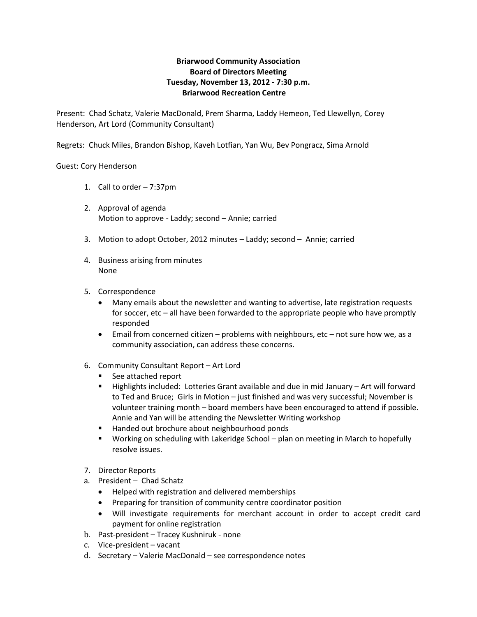# **Briarwood Community Association Board of Directors Meeting Tuesday, November 13, 2012 - 7:30 p.m. Briarwood Recreation Centre**

Present: Chad Schatz, Valerie MacDonald, Prem Sharma, Laddy Hemeon, Ted Llewellyn, Corey Henderson, Art Lord (Community Consultant)

Regrets: Chuck Miles, Brandon Bishop, Kaveh Lotfian, Yan Wu, Bev Pongracz, Sima Arnold

## Guest: Cory Henderson

- 1. Call to order 7:37pm
- 2. Approval of agenda Motion to approve - Laddy; second – Annie; carried
- 3. Motion to adopt October, 2012 minutes Laddy; second Annie; carried
- 4. Business arising from minutes None
- 5. Correspondence
	- Many emails about the newsletter and wanting to advertise, late registration requests for soccer, etc – all have been forwarded to the appropriate people who have promptly responded
	- Email from concerned citizen problems with neighbours, etc not sure how we, as a community association, can address these concerns.
- 6. Community Consultant Report Art Lord
	- See attached report
	- Highlights included: Lotteries Grant available and due in mid January Art will forward to Ted and Bruce; Girls in Motion – just finished and was very successful; November is volunteer training month – board members have been encouraged to attend if possible. Annie and Yan will be attending the Newsletter Writing workshop
	- Handed out brochure about neighbourhood ponds
	- Working on scheduling with Lakeridge School plan on meeting in March to hopefully resolve issues.
- 7. Director Reports
- a. President Chad Schatz
	- Helped with registration and delivered memberships
	- Preparing for transition of community centre coordinator position
	- Will investigate requirements for merchant account in order to accept credit card payment for online registration
- b. Past-president Tracey Kushniruk none
- c. Vice-president vacant
- d. Secretary Valerie MacDonald see correspondence notes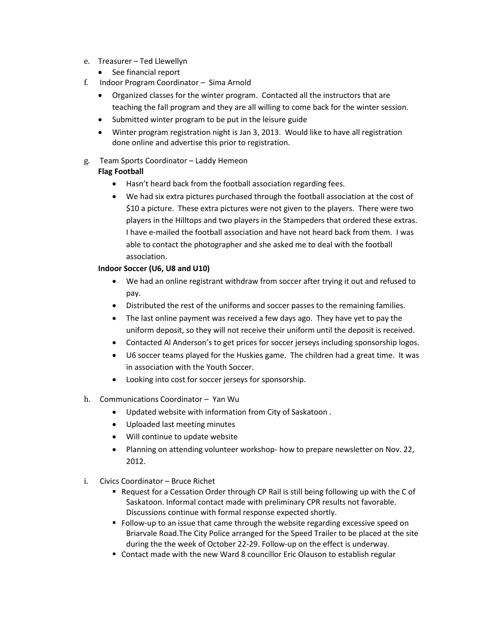- e. Treasurer Ted Llewellyn
	- See financial report
- f. Indoor Program Coordinator Sima Arnold
	- Organized classes for the winter program. Contacted all the instructors that are teaching the fall program and they are all willing to come back for the winter session.
	- Submitted winter program to be put in the leisure guide
	- Winter program registration night is Jan 3, 2013. Would like to have all registration done online and advertise this prior to registration.
- g. Team Sports Coordinator Laddy Hemeon **Flag Football**
	- Hasn't heard back from the football association regarding fees.
	- We had six extra pictures purchased through the football association at the cost of \$10 a picture. These extra pictures were not given to the players. There were two players in the Hilltops and two players in the Stampeders that ordered these extras. I have e-mailed the football association and have not heard back from them. I was able to contact the photographer and she asked me to deal with the football association.

## **Indoor Soccer (U6, U8 and U10)**

- We had an online registrant withdraw from soccer after trying it out and refused to pay.
- Distributed the rest of the uniforms and soccer passes to the remaining families.
- The last online payment was received a few days ago. They have yet to pay the uniform deposit, so they will not receive their uniform until the deposit is received.
- Contacted Al Anderson's to get prices for soccer jerseys including sponsorship logos.
- U6 soccer teams played for the Huskies game. The children had a great time. It was in association with the Youth Soccer.
- Looking into cost for soccer jerseys for sponsorship.
- h. Communications Coordinator Yan Wu
	- Updated website with information from City of Saskatoon .
	- Uploaded last meeting minutes
	- Will continue to update website
	- Planning on attending volunteer workshop- how to prepare newsletter on Nov. 22, 2012.
- i. Civics Coordinator Bruce Richet
	- **P** Request for a Cessation Order through CP Rail is still being following up with the C of Saskatoon. Informal contact made with preliminary CPR results not favorable. Discussions continue with formal response expected shortly.
	- **Follow-up to an issue that came through the website regarding excessive speed on** Briarvale Road.The City Police arranged for the Speed Trailer to be placed at the site during the the week of October 22-29. Follow-up on the effect is underway.
	- Contact made with the new Ward 8 councillor Eric Olauson to establish regular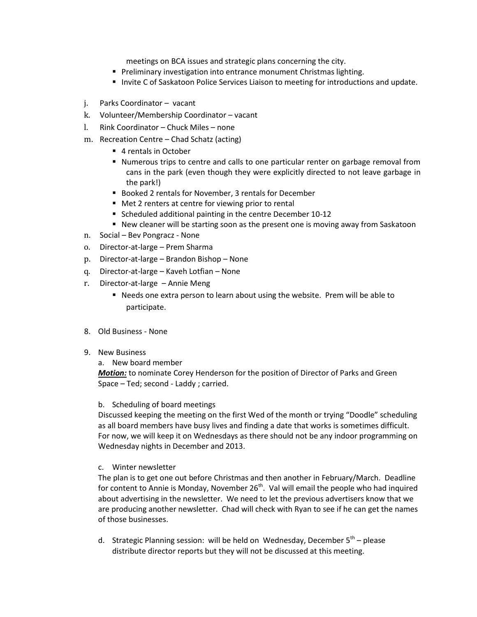meetings on BCA issues and strategic plans concerning the city.

- **Preliminary investigation into entrance monument Christmas lighting.**
- **Invite C of Saskatoon Police Services Liaison to meeting for introductions and update.**
- j. Parks Coordinator vacant
- k. Volunteer/Membership Coordinator vacant
- l. Rink Coordinator Chuck Miles none
- m. Recreation Centre Chad Schatz (acting)
	- 4 rentals in October
	- Numerous trips to centre and calls to one particular renter on garbage removal from cans in the park (even though they were explicitly directed to not leave garbage in the park!)
	- Booked 2 rentals for November, 3 rentals for December
	- Met 2 renters at centre for viewing prior to rental
	- Scheduled additional painting in the centre December 10-12
	- New cleaner will be starting soon as the present one is moving away from Saskatoon
- n. Social Bev Pongracz None
- o. Director-at-large Prem Sharma
- p. Director-at-large Brandon Bishop None
- q. Director-at-large Kaveh Lotfian None
- r. Director-at-large Annie Meng
	- Needs one extra person to learn about using the website. Prem will be able to participate.
- 8. Old Business None
- 9. New Business
	- a. New board member

*Motion:* to nominate Corey Henderson for the position of Director of Parks and Green Space – Ted; second - Laddy ; carried.

#### b. Scheduling of board meetings

Discussed keeping the meeting on the first Wed of the month or trying "Doodle" scheduling as all board members have busy lives and finding a date that works is sometimes difficult. For now, we will keep it on Wednesdays as there should not be any indoor programming on Wednesday nights in December and 2013.

c. Winter newsletter

The plan is to get one out before Christmas and then another in February/March. Deadline for content to Annie is Monday, November 26<sup>th</sup>. Val will email the people who had inquired about advertising in the newsletter. We need to let the previous advertisers know that we are producing another newsletter. Chad will check with Ryan to see if he can get the names of those businesses.

d. Strategic Planning session: will be held on Wednesday, December 5<sup>th</sup> – please distribute director reports but they will not be discussed at this meeting.